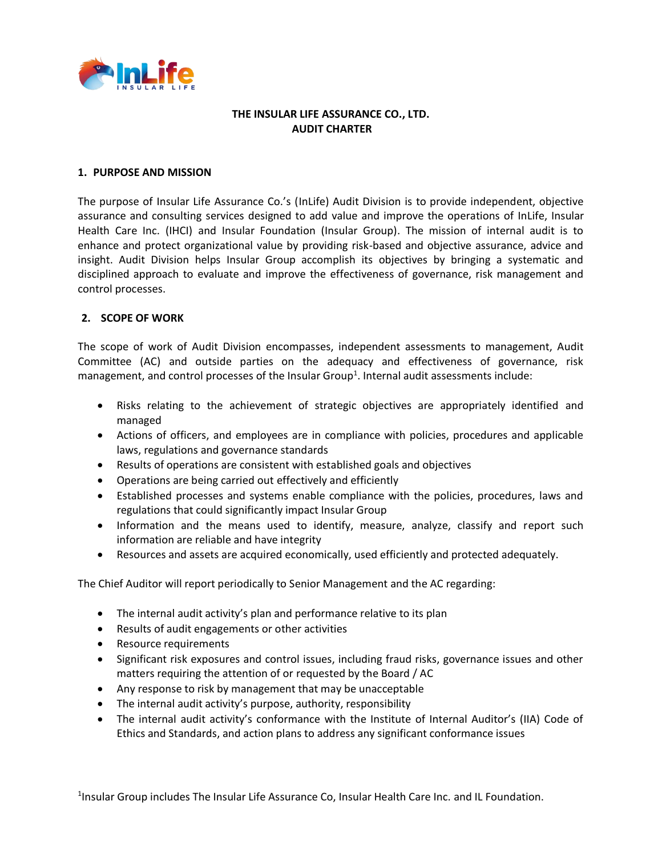

#### **THE INSULAR LIFE ASSURANCE CO., LTD. AUDIT CHARTER**

#### **1. PURPOSE AND MISSION**

The purpose of Insular Life Assurance Co.'s (InLife) Audit Division is to provide independent, objective assurance and consulting services designed to add value and improve the operations of InLife, Insular Health Care Inc. (IHCI) and Insular Foundation (Insular Group). The mission of internal audit is to enhance and protect organizational value by providing risk-based and objective assurance, advice and insight. Audit Division helps Insular Group accomplish its objectives by bringing a systematic and disciplined approach to evaluate and improve the effectiveness of governance, risk management and control processes.

## **2. SCOPE OF WORK**

The scope of work of Audit Division encompasses, independent assessments to management, Audit Committee (AC) and outside parties on the adequacy and effectiveness of governance, risk management, and control processes of the Insular Group<sup>1</sup>. Internal audit assessments include:

- Risks relating to the achievement of strategic objectives are appropriately identified and managed
- Actions of officers, and employees are in compliance with policies, procedures and applicable laws, regulations and governance standards
- Results of operations are consistent with established goals and objectives
- Operations are being carried out effectively and efficiently
- Established processes and systems enable compliance with the policies, procedures, laws and regulations that could significantly impact Insular Group
- Information and the means used to identify, measure, analyze, classify and report such information are reliable and have integrity
- Resources and assets are acquired economically, used efficiently and protected adequately.

The Chief Auditor will report periodically to Senior Management and the AC regarding:

- The internal audit activity's plan and performance relative to its plan
- Results of audit engagements or other activities
- Resource requirements
- Significant risk exposures and control issues, including fraud risks, governance issues and other matters requiring the attention of or requested by the Board / AC
- Any response to risk by management that may be unacceptable
- The internal audit activity's purpose, authority, responsibility
- The internal audit activity's conformance with the Institute of Internal Auditor's (IIA) Code of Ethics and Standards, and action plans to address any significant conformance issues

<sup>1</sup>Insular Group includes The Insular Life Assurance Co, Insular Health Care Inc. and IL Foundation.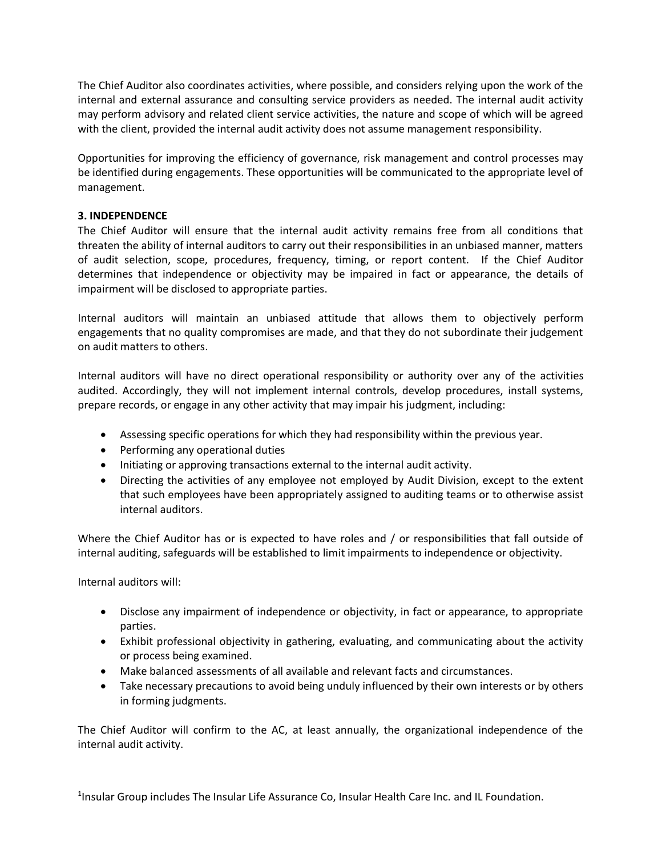The Chief Auditor also coordinates activities, where possible, and considers relying upon the work of the internal and external assurance and consulting service providers as needed. The internal audit activity may perform advisory and related client service activities, the nature and scope of which will be agreed with the client, provided the internal audit activity does not assume management responsibility.

Opportunities for improving the efficiency of governance, risk management and control processes may be identified during engagements. These opportunities will be communicated to the appropriate level of management.

# **3. INDEPENDENCE**

The Chief Auditor will ensure that the internal audit activity remains free from all conditions that threaten the ability of internal auditors to carry out their responsibilities in an unbiased manner, matters of audit selection, scope, procedures, frequency, timing, or report content. If the Chief Auditor determines that independence or objectivity may be impaired in fact or appearance, the details of impairment will be disclosed to appropriate parties.

Internal auditors will maintain an unbiased attitude that allows them to objectively perform engagements that no quality compromises are made, and that they do not subordinate their judgement on audit matters to others.

Internal auditors will have no direct operational responsibility or authority over any of the activities audited. Accordingly, they will not implement internal controls, develop procedures, install systems, prepare records, or engage in any other activity that may impair his judgment, including:

- Assessing specific operations for which they had responsibility within the previous year.
- Performing any operational duties
- Initiating or approving transactions external to the internal audit activity.
- Directing the activities of any employee not employed by Audit Division, except to the extent that such employees have been appropriately assigned to auditing teams or to otherwise assist internal auditors.

Where the Chief Auditor has or is expected to have roles and / or responsibilities that fall outside of internal auditing, safeguards will be established to limit impairments to independence or objectivity.

Internal auditors will:

- Disclose any impairment of independence or objectivity, in fact or appearance, to appropriate parties.
- Exhibit professional objectivity in gathering, evaluating, and communicating about the activity or process being examined.
- Make balanced assessments of all available and relevant facts and circumstances.
- Take necessary precautions to avoid being unduly influenced by their own interests or by others in forming judgments.

The Chief Auditor will confirm to the AC, at least annually, the organizational independence of the internal audit activity.

<sup>1</sup>Insular Group includes The Insular Life Assurance Co, Insular Health Care Inc. and IL Foundation.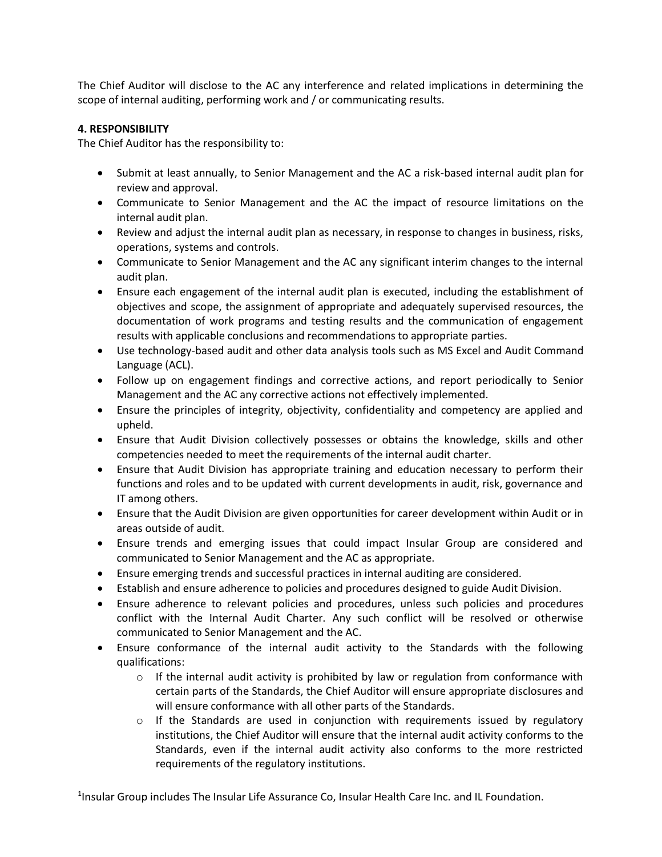The Chief Auditor will disclose to the AC any interference and related implications in determining the scope of internal auditing, performing work and / or communicating results.

## **4. RESPONSIBILITY**

The Chief Auditor has the responsibility to:

- Submit at least annually, to Senior Management and the AC a risk-based internal audit plan for review and approval.
- Communicate to Senior Management and the AC the impact of resource limitations on the internal audit plan.
- Review and adjust the internal audit plan as necessary, in response to changes in business, risks, operations, systems and controls.
- Communicate to Senior Management and the AC any significant interim changes to the internal audit plan.
- Ensure each engagement of the internal audit plan is executed, including the establishment of objectives and scope, the assignment of appropriate and adequately supervised resources, the documentation of work programs and testing results and the communication of engagement results with applicable conclusions and recommendations to appropriate parties.
- Use technology-based audit and other data analysis tools such as MS Excel and Audit Command Language (ACL).
- Follow up on engagement findings and corrective actions, and report periodically to Senior Management and the AC any corrective actions not effectively implemented.
- Ensure the principles of integrity, objectivity, confidentiality and competency are applied and upheld.
- Ensure that Audit Division collectively possesses or obtains the knowledge, skills and other competencies needed to meet the requirements of the internal audit charter.
- Ensure that Audit Division has appropriate training and education necessary to perform their functions and roles and to be updated with current developments in audit, risk, governance and IT among others.
- Ensure that the Audit Division are given opportunities for career development within Audit or in areas outside of audit.
- Ensure trends and emerging issues that could impact Insular Group are considered and communicated to Senior Management and the AC as appropriate.
- Ensure emerging trends and successful practices in internal auditing are considered.
- Establish and ensure adherence to policies and procedures designed to guide Audit Division.
- Ensure adherence to relevant policies and procedures, unless such policies and procedures conflict with the Internal Audit Charter. Any such conflict will be resolved or otherwise communicated to Senior Management and the AC.
- Ensure conformance of the internal audit activity to the Standards with the following qualifications:
	- $\circ$  If the internal audit activity is prohibited by law or regulation from conformance with certain parts of the Standards, the Chief Auditor will ensure appropriate disclosures and will ensure conformance with all other parts of the Standards.
	- $\circ$  If the Standards are used in conjunction with requirements issued by regulatory institutions, the Chief Auditor will ensure that the internal audit activity conforms to the Standards, even if the internal audit activity also conforms to the more restricted requirements of the regulatory institutions.

<sup>1</sup>Insular Group includes The Insular Life Assurance Co, Insular Health Care Inc. and IL Foundation.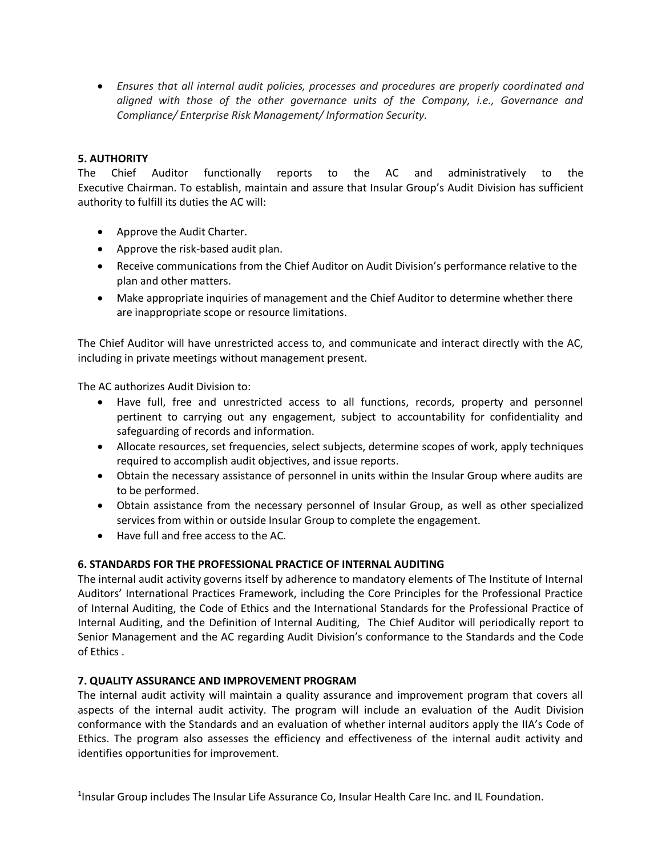• *Ensures that all internal audit policies, processes and procedures are properly coordinated and aligned with those of the other governance units of the Company, i.e., Governance and Compliance/ Enterprise Risk Management/ Information Security.*

# **5. AUTHORITY**

The Chief Auditor functionally reports to the AC and administratively to the Executive Chairman. To establish, maintain and assure that Insular Group's Audit Division has sufficient authority to fulfill its duties the AC will:

- Approve the Audit Charter.
- Approve the risk-based audit plan.
- Receive communications from the Chief Auditor on Audit Division's performance relative to the plan and other matters.
- Make appropriate inquiries of management and the Chief Auditor to determine whether there are inappropriate scope or resource limitations.

The Chief Auditor will have unrestricted access to, and communicate and interact directly with the AC, including in private meetings without management present.

The AC authorizes Audit Division to:

- Have full, free and unrestricted access to all functions, records, property and personnel pertinent to carrying out any engagement, subject to accountability for confidentiality and safeguarding of records and information.
- Allocate resources, set frequencies, select subjects, determine scopes of work, apply techniques required to accomplish audit objectives, and issue reports.
- Obtain the necessary assistance of personnel in units within the Insular Group where audits are to be performed.
- Obtain assistance from the necessary personnel of Insular Group, as well as other specialized services from within or outside Insular Group to complete the engagement.
- Have full and free access to the AC.

## **6. STANDARDS FOR THE PROFESSIONAL PRACTICE OF INTERNAL AUDITING**

The internal audit activity governs itself by adherence to mandatory elements of The Institute of Internal Auditors' International Practices Framework, including the Core Principles for the Professional Practice of Internal Auditing, the Code of Ethics and the International Standards for the Professional Practice of Internal Auditing, and the Definition of Internal Auditing, The Chief Auditor will periodically report to Senior Management and the AC regarding Audit Division's conformance to the Standards and the Code of Ethics .

## **7. QUALITY ASSURANCE AND IMPROVEMENT PROGRAM**

The internal audit activity will maintain a quality assurance and improvement program that covers all aspects of the internal audit activity. The program will include an evaluation of the Audit Division conformance with the Standards and an evaluation of whether internal auditors apply the IIA's Code of Ethics. The program also assesses the efficiency and effectiveness of the internal audit activity and identifies opportunities for improvement.